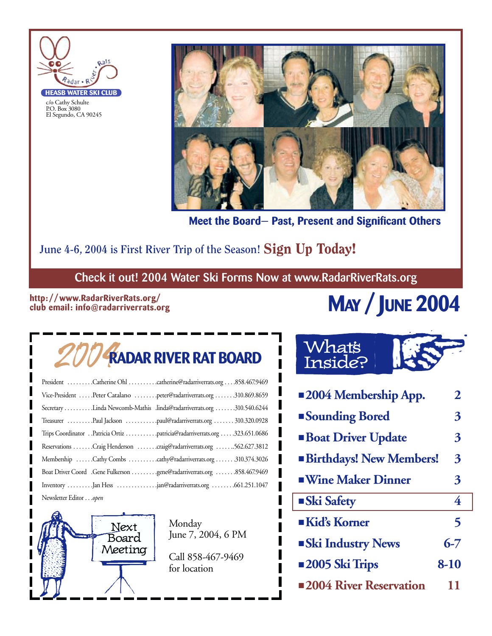

c/o Cathy Schulte P.O. Box 3080 El Segundo, CA 90245



**Meet the Board— Past, Present and Significant Others**

#### June 4-6, 2004 is First River Trip of the Season! Sign Up Today!

**Check it out! 2004 Water Ski Forms Now at www.RadarRiverRats.org**

#### **http://www.RadarRiverRats.org/ club email: info@radarriverrats.org**

# **MAY / JUNE 2004**

# 2004**RADAR RIVER RAT BOARD**

| President Catherine Ohl catherine@radarriverrats.org858.467.9469          |  |
|---------------------------------------------------------------------------|--|
| Vice-President Peter Catalano peter@radarriverrats.org 310.869.8659       |  |
| Secretary Linda Newcomb-Mathis .linda@radarriverrats.org 310.540.6244     |  |
| Treasurer Paul Jackson paul@radarriverrats.org 310.320.0928               |  |
| Trips Coordinator Patricia Ortiz patricia@radarriverrats.org 323.651.0686 |  |
| Reservations Craig Henderson craig@radarriverrats.org 562.627.3812        |  |
| Membership Cathy Combs cathy@radarriverrats.org 310.374.3026              |  |
| Boat Driver Coord .Gene Fulkerson gene@radarriverrats.org 858.467.9469    |  |
| Inventory Jan Hess jan@radarriverrats.org                                 |  |
| Newsletter Editoropen                                                     |  |

Next Board Meeting

Monday June 7, 2004, 6 PM

Call 858-467-9469 for location

## What's Inside?

| <b>2004 Membership App.</b>    | 2        |
|--------------------------------|----------|
| <b>Sounding Bored</b>          | 3        |
| <b>Boat Driver Update</b>      | 3        |
| <b>Birthdays! New Members!</b> | 3        |
| <b>Wine Maker Dinner</b>       | 3        |
| <b>Ski Safety</b>              | 4        |
| Kid's Korner                   | 5        |
| <b>Ski Industry News</b>       | $6 - 7$  |
| <b>2005 Ski Trips</b>          | $8 - 10$ |
| <b>2004 River Reservation</b>  | וו       |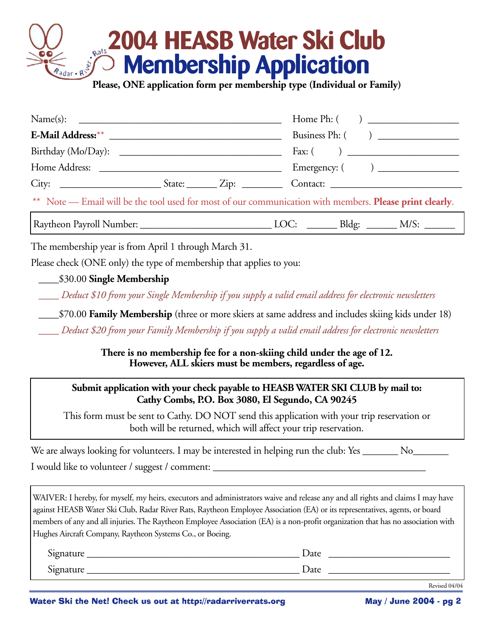## **2004 HEASB Water Ski Club Membership Application Please, ONE application form per membership type (Individual or Family)**

| Name(s):                                                                                                |  |  |  |  |
|---------------------------------------------------------------------------------------------------------|--|--|--|--|
|                                                                                                         |  |  |  |  |
|                                                                                                         |  |  |  |  |
|                                                                                                         |  |  |  |  |
|                                                                                                         |  |  |  |  |
| ** Note — Email will be the tool used for most of our communication with members. Please print clearly. |  |  |  |  |
|                                                                                                         |  |  |  |  |

The membership year is from April 1 through March 31.

Please check (ONE only) the type of membership that applies to you:

\_\_\_\_\$30.00 **Single Membership**

*\_\_\_\_ Deduct \$10 from your Single Membership if you supply a valid email address for electronic newsletters*

\_\_\_\_\$70.00 **Family Membership** (three or more skiers at same address and includes skiing kids under 18)

*\_\_\_\_ Deduct \$20 from your Family Membership if you supply a valid email address for electronic newsletters*

**There is no membership fee for a non-skiing child under the age of 12. However, ALL skiers must be members, regardless of age.**

#### **Submit application with your check payable to HEASB WATER SKI CLUB by mail to: Cathy Combs, P.O. Box 3080, El Segundo, CA 90245**

This form must be sent to Cathy. DO NOT send this application with your trip reservation or both will be returned, which will affect your trip reservation.

| We are always looking for volunteers. I may be interested in helping run the club: Yes _ |  |
|------------------------------------------------------------------------------------------|--|
| I would like to volunteer / suggest / comment:                                           |  |

WAIVER: I hereby, for myself, my heirs, executors and administrators waive and release any and all rights and claims I may have against HEASB Water Ski Club, Radar River Rats, Raytheon Employee Association (EA) or its representatives, agents, or board members of any and all injuries. The Raytheon Employee Association (EA) is a non-profit organization that has no association with Hughes Aircraft Company, Raytheon Systems Co., or Boeing.

| $\sim$<br>ignature<br>$\mathcal{L}$ | Date |
|-------------------------------------|------|
| $\sim$<br>Signature                 | Date |

Revised 04/04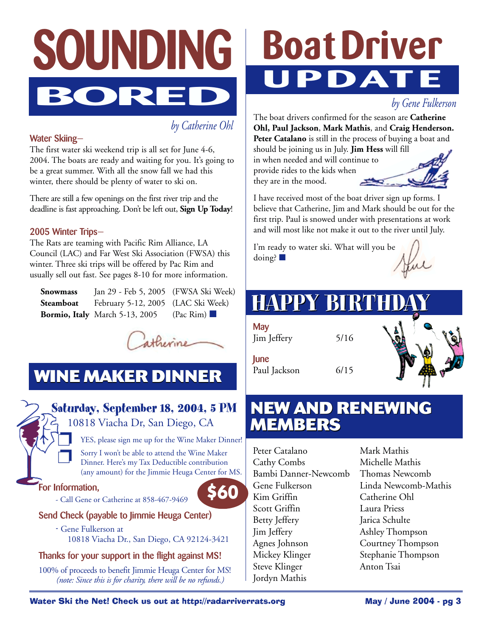

*by Catherine Ohl*

#### **Water Skiing—**

The first water ski weekend trip is all set for June 4-6, 2004. The boats are ready and waiting for you. It's going to be a great summer. With all the snow fall we had this winter, there should be plenty of water to ski on.

There are still a few openings on the first river trip and the deadline is fast approaching. Don't be left out, **Sign Up Today**!

#### **2005 Winter Trips—**

The Rats are teaming with Pacific Rim Alliance, LA Council (LAC) and Far West Ski Association (FWSA) this winter. Three ski trips will be offered by Pac Rim and usually sell out fast. See pages 8-10 for more information.

| Snowmass | Jan 29 - Feb 5, 2005 (FWSA Ski Week)                |           |
|----------|-----------------------------------------------------|-----------|
|          | <b>Steamboat</b> February 5-12, 2005 (LAC Ski Week) |           |
|          | <b>Bormio, Italy</b> March 5-13, 2005               | (Pac Rim) |



## **WINE MAKER DINNER**

#### **Saturday, September 18, 2004, 5 PM**

10818 Viacha Dr, San Diego, CA

YES, please sign me up for the Wine Maker Dinner! Sorry I won't be able to attend the Wine Maker Dinner. Here's my Tax Deductible contribution (any amount) for the Jimmie Heuga Center for MS.

**\$60**

#### **For Information,**

- Call Gene or Catherine at 858-467-9469



**-** Gene Fulkerson at 10818 Viacha Dr., San Diego, CA 92124-3421

#### **Thanks for your support in the flight against MS!**

100% of proceeds to benefit Jimmie Heuga Center for MS! *(note: Since this is for charity, there will be no refunds.)*

# **Boat Driver DAT**

#### *by Gene Fulkerson*

The boat drivers confirmed for the season are **Catherine Ohl, Paul Jackson**, **Mark Mathis**, and **Craig Henderson.** Peter Catalano is still in the process of buying a boat and

should be joining us in July. **Jim Hess** will fill in when needed and will continue to provide rides to the kids when they are in the mood.



I have received most of the boat driver sign up forms. I believe that Catherine, Jim and Mark should be out for the first trip. Paul is snowed under with presentations at work and will most like not make it out to the river until July.

I'm ready to water ski. What will you be doing? ■

# **HAPPY BIRTHD**

| <b>May</b><br>Jim Jeffery | 5/16 |  |
|---------------------------|------|--|
| June<br>Paul Jackson      | 6/15 |  |

### **NEW AND RENEWING NEW AND RENEWING MEMBERS MEMBERS**

Peter Catalano Cathy Combs Bambi Danner-Newcomb Gene Fulkerson Kim Griffin Scott Griffin Betty Jeffery Jim Jeffery Agnes Johnson Mickey Klinger Steve Klinger Jordyn Mathis

Mark Mathis Michelle Mathis Thomas Newcomb Linda Newcomb-Mathis Catherine Ohl Laura Priess Jarica Schulte Ashley Thompson Courtney Thompson Stephanie Thompson Anton Tsai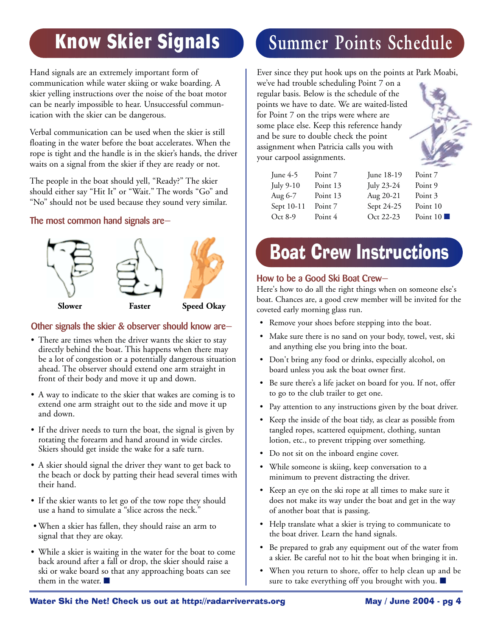# **Know Skier Signals**

Hand signals are an extremely important form of communication while water skiing or wake boarding. A skier yelling instructions over the noise of the boat motor can be nearly impossible to hear. Unsuccessful communication with the skier can be dangerous.

Verbal communication can be used when the skier is still floating in the water before the boat accelerates. When the rope is tight and the handle is in the skier's hands, the driver waits on a signal from the skier if they are ready or not.

The people in the boat should yell, "Ready?" The skier should either say "Hit It" or "Wait." The words "Go" and "No" should not be used because they sound very similar.

**The most common hand signals are—**



#### **Other signals the skier & observer should know are—**

- There are times when the driver wants the skier to stay directly behind the boat. This happens when there may be a lot of congestion or a potentially dangerous situation ahead. The observer should extend one arm straight in front of their body and move it up and down.
- A way to indicate to the skier that wakes are coming is to extend one arm straight out to the side and move it up and down.
- If the driver needs to turn the boat, the signal is given by rotating the forearm and hand around in wide circles. Skiers should get inside the wake for a safe turn.
- A skier should signal the driver they want to get back to the beach or dock by patting their head several times with their hand.
- If the skier wants to let go of the tow rope they should use a hand to simulate a "slice across the neck."
- When a skier has fallen, they should raise an arm to signal that they are okay.
- While a skier is waiting in the water for the boat to come back around after a fall or drop, the skier should raise a ski or wake board so that any approaching boats can see them in the water. ■

# **Summer Points Schedule**

Ever since they put hook ups on the points at Park Moabi,

we've had trouble scheduling Point 7 on a regular basis. Below is the schedule of the points we have to date. We are waited-listed for Point 7 on the trips were where are some place else. Keep this reference handy and be sure to double check the point assignment when Patricia calls you with your carpool assignments.



| Point 7  | June 18-19 | Point 7                 |
|----------|------------|-------------------------|
| Point 13 | July 23-24 | Point 9                 |
| Point 13 | Aug 20-21  | Point 3                 |
| Point 7  | Sept 24-25 | Point 10                |
| Point 4  | Oct 22-23  | Point $10 \blacksquare$ |
|          |            |                         |

# Boat Crew Instructions

#### **How to be a Good Ski Boat Crew—**

Here's how to do all the right things when on someone else's boat. Chances are, a good crew member will be invited for the coveted early morning glass run.

- Remove your shoes before stepping into the boat.
- Make sure there is no sand on your body, towel, vest, ski and anything else you bring into the boat.
- Don't bring any food or drinks, especially alcohol, on board unless you ask the boat owner first.
- Be sure there's a life jacket on board for you. If not, offer to go to the club trailer to get one.
- Pay attention to any instructions given by the boat driver.
- Keep the inside of the boat tidy, as clear as possible from tangled ropes, scattered equipment, clothing, suntan lotion, etc., to prevent tripping over something.
- Do not sit on the inboard engine cover.
- While someone is skiing, keep conversation to a minimum to prevent distracting the driver.
- Keep an eye on the ski rope at all times to make sure it does not make its way under the boat and get in the way of another boat that is passing.
- Help translate what a skier is trying to communicate to the boat driver. Learn the hand signals.
- Be prepared to grab any equipment out of the water from a skier. Be careful not to hit the boat when bringing it in.
- When you return to shore, offer to help clean up and be sure to take everything off you brought with you. ■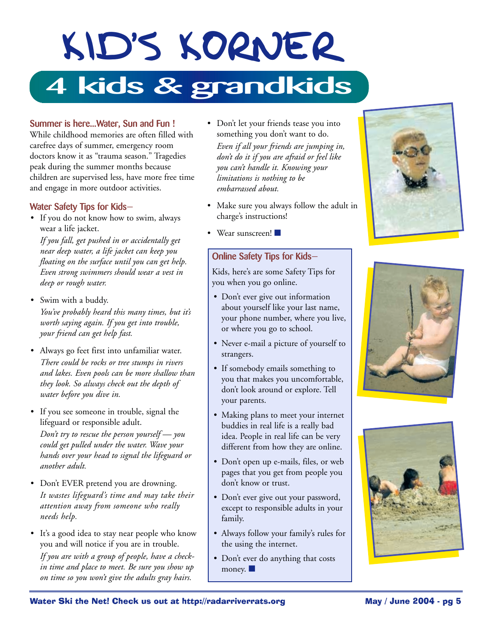# KID'S KORNER **4 kids & grandkids**

#### **Summer is here...Water, Sun and Fun !**

While childhood memories are often filled with carefree days of summer, emergency room doctors know it as "trauma season." Tragedies peak during the summer months because children are supervised less, have more free time and engage in more outdoor activities.

#### **Water Safety Tips for Kids—**

• If you do not know how to swim, always wear a life jacket.

*If you fall, get pushed in or accidentally get near deep water, a life jacket can keep you floating on the surface until you can get help. Even strong swimmers should wear a vest in deep or rough water.*

• Swim with a buddy. *You've probably heard this many times, but it's*

*worth saying again. If you get into trouble, your friend can get help fast.*

- Always go feet first into unfamiliar water. *There could be rocks or tree stumps in rivers and lakes. Even pools can be more shallow than they look. So always check out the depth of water before you dive in.*
- If you see someone in trouble, signal the lifeguard or responsible adult.

*Don't try to rescue the person yourself — you could get pulled under the water. Wave your hands over your head to signal the lifeguard or another adult.*

- Don't EVER pretend you are drowning. *It wastes lifeguard's time and may take their attention away from someone who really needs help.*
- It's a good idea to stay near people who know you and will notice if you are in trouble. *If you are with a group of people, have a checkin time and place to meet. Be sure you show up on time so you won't give the adults gray hairs.*
- Don't let your friends tease you into something you don't want to do. *Even if all your friends are jumping in, don't do it if you are afraid or feel like you can't handle it. Knowing your limitations is nothing to be embarrassed about.*
- Make sure you always follow the adult in charge's instructions!

Wear sunscreen!

#### **Online Safety Tips for Kids—**

Kids, here's are some Safety Tips for you when you go online.

- Don't ever give out information about yourself like your last name, your phone number, where you live, or where you go to school.
- Never e-mail a picture of yourself to strangers.
- If somebody emails something to you that makes you uncomfortable, don't look around or explore. Tell your parents.
- Making plans to meet your internet buddies in real life is a really bad idea. People in real life can be very different from how they are online.
- Don't open up e-mails, files, or web pages that you get from people you don't know or trust.
- Don't ever give out your password, except to responsible adults in your family.
- Always follow your family's rules for the using the internet.
- Don't ever do anything that costs money.  $\blacksquare$





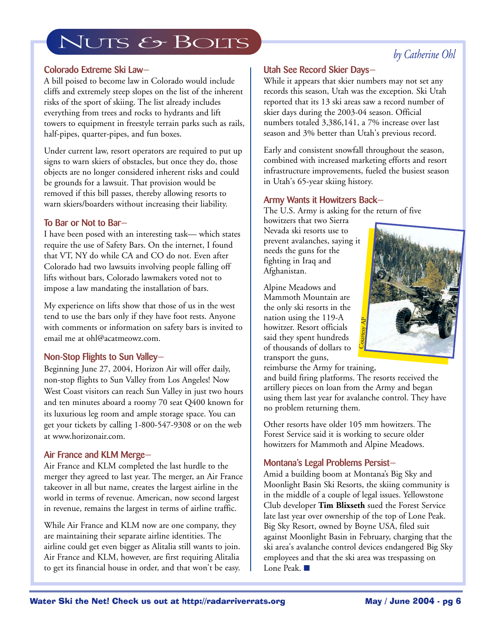## NUTS & BOLTS

#### *by Catherine Ohl*

#### **Colorado Extreme Ski Law—**

A bill poised to become law in Colorado would include cliffs and extremely steep slopes on the list of the inherent risks of the sport of skiing. The list already includes everything from trees and rocks to hydrants and lift towers to equipment in freestyle terrain parks such as rails, half-pipes, quarter-pipes, and fun boxes.

Under current law, resort operators are required to put up signs to warn skiers of obstacles, but once they do, those objects are no longer considered inherent risks and could be grounds for a lawsuit. That provision would be removed if this bill passes, thereby allowing resorts to warn skiers/boarders without increasing their liability.

#### **To Bar or Not to Bar—**

I have been posed with an interesting task— which states require the use of Safety Bars. On the internet, I found that VT, NY do while CA and CO do not. Even after Colorado had two lawsuits involving people falling off lifts without bars, Colorado lawmakers voted not to impose a law mandating the installation of bars.

My experience on lifts show that those of us in the west tend to use the bars only if they have foot rests. Anyone with comments or information on safety bars is invited to email me at ohl@acatmeowz.com.

#### **Non-Stop Flights to Sun Valley—**

Beginning June 27, 2004, Horizon Air will offer daily, non-stop flights to Sun Valley from Los Angeles! Now West Coast visitors can reach Sun Valley in just two hours and ten minutes aboard a roomy 70 seat Q400 known for its luxurious leg room and ample storage space. You can get your tickets by calling 1-800-547-9308 or on the web at www.horizonair.com.

#### **Air France and KLM Merge—**

Air France and KLM completed the last hurdle to the merger they agreed to last year. The merger, an Air France takeover in all but name, creates the largest airline in the world in terms of revenue. American, now second largest in revenue, remains the largest in terms of airline traffic.

While Air France and KLM now are one company, they are maintaining their separate airline identities. The airline could get even bigger as Alitalia still wants to join. Air France and KLM, however, are first requiring Alitalia to get its financial house in order, and that won't be easy.

#### **Utah See Record Skier Days—**

While it appears that skier numbers may not set any records this season, Utah was the exception. Ski Utah reported that its 13 ski areas saw a record number of skier days during the 2003-04 season. Official numbers totaled 3,386,141, a 7% increase over last season and 3% better than Utah's previous record.

Early and consistent snowfall throughout the season, combined with increased marketing efforts and resort infrastructure improvements, fueled the busiest season in Utah's 65-year skiing history.

#### **Army Wants it Howitzers Back—**

The U.S. Army is asking for the return of five

howitzers that two Sierra Nevada ski resorts use to prevent avalanches, saying it needs the guns for the fighting in Iraq and Afghanistan.

Alpine Meadows and Mammoth Mountain are the only ski resorts in the nation using the 119-A howitzer. Resort officials said they spent hundreds of thousands of dollars to transport the guns,



reimburse the Army for training,

and build firing platforms. The resorts received the artillery pieces on loan from the Army and began using them last year for avalanche control. They have no problem returning them.

Other resorts have older 105 mm howitzers. The Forest Service said it is working to secure older howitzers for Mammoth and Alpine Meadows.

#### **Montana's Legal Problems Persist—**

Amid a building boom at Montana's Big Sky and Moonlight Basin Ski Resorts, the skiing community is in the middle of a couple of legal issues. Yellowstone Club developer **Tim Blixseth** sued the Forest Service late last year over ownership of the top of Lone Peak. Big Sky Resort, owned by Boyne USA, filed suit against Moonlight Basin in February, charging that the ski area's avalanche control devices endangered Big Sky employees and that the ski area was trespassing on Lone Peak. ■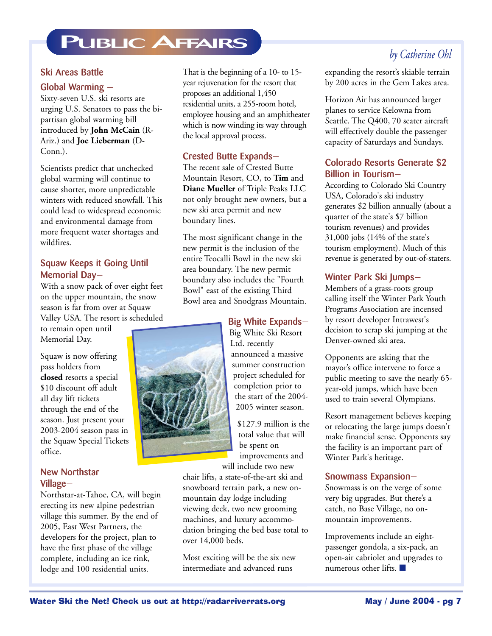## **PUBLIC AFFAIRS**

#### **Ski Areas Battle**

#### **Global Warming —**

Sixty-seven U.S. ski resorts are urging U.S. Senators to pass the bipartisan global warming bill introduced by **John McCain** (R-Ariz.) and **Joe Lieberman** (D-Conn.).

Scientists predict that unchecked global warming will continue to cause shorter, more unpredictable winters with reduced snowfall. This could lead to widespread economic and environmental damage from more frequent water shortages and wildfires.

#### **Squaw Keeps it Going Until Memorial Day—**

With a snow pack of over eight feet on the upper mountain, the snow season is far from over at Squaw Valley USA. The resort is scheduled

to remain open until Memorial Day.

Squaw is now offering pass holders from **closed** resorts a special \$10 discount off adult all day lift tickets through the end of the season. Just present your 2003-2004 season pass in the Squaw Special Tickets office.

#### **New Northstar Village—**

Northstar-at-Tahoe, CA, will begin erecting its new alpine pedestrian village this summer. By the end of 2005, East West Partners, the developers for the project, plan to have the first phase of the village complete, including an ice rink, lodge and 100 residential units.

That is the beginning of a 10- to 15 year rejuvenation for the resort that proposes an additional 1,450 residential units, a 255-room hotel, employee housing and an amphitheater which is now winding its way through the local approval process.

#### **Crested Butte Expands—**

The recent sale of Crested Butte Mountain Resort, CO, to **Tim** and **Diane Mueller** of Triple Peaks LLC not only brought new owners, but a new ski area permit and new boundary lines.

The most significant change in the new permit is the inclusion of the entire Teocalli Bowl in the new ski area boundary. The new permit boundary also includes the "Fourth Bowl" east of the existing Third Bowl area and Snodgrass Mountain.

#### **Big White Expands—**

Big White Ski Resort Ltd. recently announced a massive summer construction project scheduled for completion prior to the start of the 2004- 2005 winter season.

\$127.9 million is the total value that will be spent on improvements and will include two new

chair lifts, a state-of-the-art ski and snowboard terrain park, a new onmountain day lodge including viewing deck, two new grooming machines, and luxury accommodation bringing the bed base total to over 14,000 beds.

Most exciting will be the six new intermediate and advanced runs

#### *by Catherine Ohl*

expanding the resort's skiable terrain by 200 acres in the Gem Lakes area.

Horizon Air has announced larger planes to service Kelowna from Seattle. The Q400, 70 seater aircraft will effectively double the passenger capacity of Saturdays and Sundays.

#### **Colorado Resorts Generate \$2 Billion in Tourism—**

According to Colorado Ski Country USA, Colorado's ski industry generates \$2 billion annually (about a quarter of the state's \$7 billion tourism revenues) and provides 31,000 jobs (14% of the state's tourism employment). Much of this revenue is generated by out-of-staters.

#### **Winter Park Ski Jumps—**

Members of a grass-roots group calling itself the Winter Park Youth Programs Association are incensed by resort developer Intrawest's decision to scrap ski jumping at the Denver-owned ski area.

Opponents are asking that the mayor's office intervene to force a public meeting to save the nearly 65 year-old jumps, which have been used to train several Olympians.

Resort management believes keeping or relocating the large jumps doesn't make financial sense. Opponents say the facility is an important part of Winter Park's heritage.

#### **Snowmass Expansion—**

Snowmass is on the verge of some very big upgrades. But there's a catch, no Base Village, no onmountain improvements.

Improvements include an eightpassenger gondola, a six-pack, an open-air cabriolet and upgrades to numerous other lifts. ■

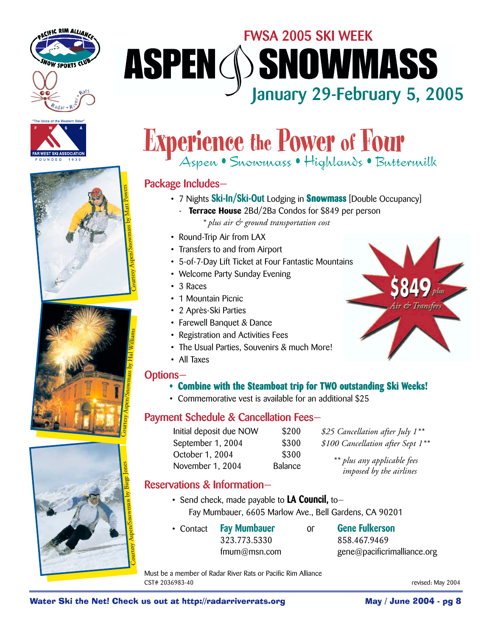









# **FWSA 2005 SKI WEEK ASPEN (SNOWMASS 1918)**<br>January 29-February 5, 2005

# **Experience the Power of Four**

Aspen • Snowmass • Highlands • Buttermilk

#### **Package Includes—**

- 7 Nights **Ski-In/Ski-Out** Lodging in **Snowmass** [Double Occupancy]
	- **Terrace House** 2Bd/2Ba Condos for \$849 per person *\* plus air & ground transportation cost*
- Round-Trip Air from LAX
- Transfers to and from Airport
- 5-of-7-Day Lift Ticket at Four Fantastic Mountains
- Welcome Party Sunday Evening
- 3 Races
- 1 Mountain Picnic
- 2 Après-Ski Parties
- Farewell Banquet & Dance
- Registration and Activities Fees
- The Usual Parties, Souvenirs & much More!
- All Taxes

#### **Options—**

- **Combine with the Steamboat trip for TWO outstanding Ski Weeks!**
- Commemorative vest is available for an additional \$25

#### **Payment Schedule & Cancellation Fees—**

| Initial deposit due NOW | \$200   |
|-------------------------|---------|
| September 1, 2004       | \$300   |
| October 1, 2004         | \$300   |
| November 1, 2004        | Balance |

\$25 Cancellation after July 1<sup>\*\*</sup>  $$100$  Cancellation after Sept 1<sup>\*\*</sup>

> *\*\* plus any applicable fees imposed by the airlines*

#### **Reservations & Information—**

- Send check, made payable to **LA Council,** to— Fay Mumbauer, 6605 Marlow Ave., Bell Gardens, CA 90201
- Contact **Fay Mumbauer** or **Gene Fulkerson** 323.773.5330 858.467.9469

fmum@msn.com gene@pacificrimalliance.org

Must be a member of Radar River Rats or Pacific Rim Alliance CST# 2036983-40 revised: May 2004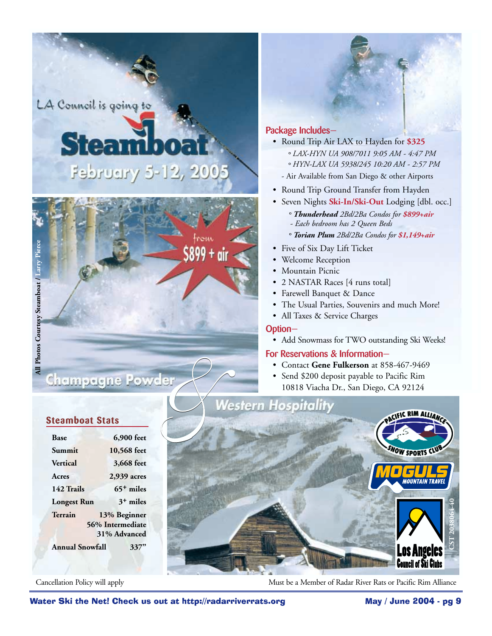LA Council is going to

# **Steam** February 5-12, 2005



#### **Package Includes—**

- Round Trip Air LAX to Hayden for **\$325** *° LAX-HYN UA 908/7011 9:05 AM - 4:47 PM ° HYN-LAX UA 5938/245 10:20 AM - 2:57 PM*
	- Air Available from San Diego & other Airports
- Round Trip Ground Transfer from Hayden
- Seven Nights **Ski-In/Ski-Out** Lodging [dbl. occ.]
	- *° Thunderhead 2Bd/2Ba Condos for \$899+air - Each bedroom has 2 Queen Beds*
	- *° Torian Plum 2Bd/2Ba Condos for \$1,149+air*
- Five of Six Day Lift Ticket
- Welcome Reception
- Mountain Picnic
- 2 NASTAR Races [4 runs total]
- Farewell Banquet & Dance
- The Usual Parties, Souvenirs and much More!
- All Taxes & Service Charges

#### **Option—**

• Add Snowmass for TWO outstanding Ski Weeks!

#### **For Reservations & Information—**

- Contact **Gene Fulkerson** at 858-467-9469
- Send \$200 deposit payable to Pacific Rim 10818 Viacha Dr., San Diego, CA 92124

# Ski the Net! Check us out at http://radarriverrats.org May / June 2004 - pg 9 <br>
Check us out at http://radarriverrats.org May / June 2004 - pg<br>
The Using Kinese (4 and the Net Check us out at http://radarriverrats.org May **CST 2038064-40**

Cancellation Policy will apply **Must be a Member of Radar River Rats or Pacific Rim Alliance** 

#### **Steamboat Stats**

| <b>Base</b>            | 6,900 feet       |  |  |
|------------------------|------------------|--|--|
| Summit                 | 10,568 feet      |  |  |
| Vertical               | 3,668 feet       |  |  |
| Acres                  | 2,939 acres      |  |  |
| 142 Trails             | $65+$ miles      |  |  |
| <b>Longest Run</b>     | $3+$ miles       |  |  |
| Terrain                | 13% Beginner     |  |  |
|                        | 56% Intermediate |  |  |
| 31% Advanced           |                  |  |  |
| <b>Annual Snowfall</b> | $3 -$            |  |  |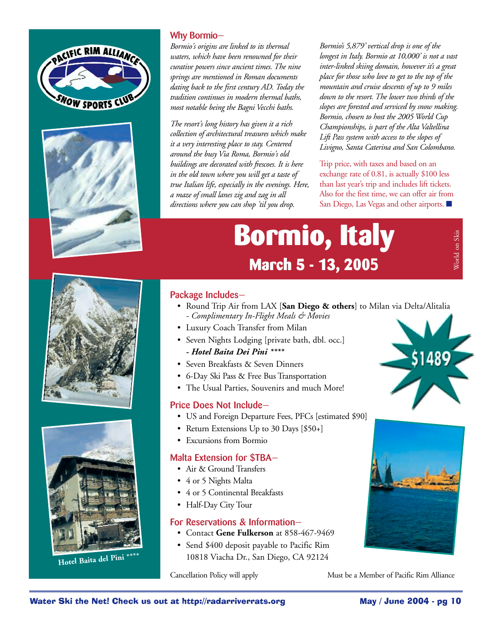



#### **Why Bormio—**

*Bormio's origins are linked to its thermal waters, which have been renowned for their curative powers since ancient times. The nine springs are mentioned in Roman documents dating back to the first century AD. Today the tradition continues in modern thermal baths, most notable being the Bagni Vecchi baths.* 

*The resort's long history has given it a rich collection of architectural treasures which make it a very interesting place to stay. Centered around the busy Via Roma, Bormio's old buildings are decorated with frescoes. It is here in the old town where you will get a taste of true Italian life, especially in the evenings. Here, a maze of small lanes zig and zag in all directions where you can shop 'til you drop.*

*Bormio's 5,879' vertical drop is one of the longest in Italy. Bormio at 10,000' is not a vast inter-linked skiing domain, however it's a great place for those who love to get to the top of the mountain and cruise descents of up to 9 miles down to the resort. The lower two thirds of the slopes are forested and serviced by snow making. Bormio, chosen to host the 2005 World Cup Championships, is part of the Alta Valtellina Lift Pass system with access to the slopes of Livigno, Santa Caterina and San Colombano.* 

Trip price, with taxes and based on an exchange rate of 0.81, is actually \$100 less than last year's trip and includes lift tickets. Also for the first time, we can offer air from San Diego, Las Vegas and other airports. ■

# **Bormio, Italy March 5 - 13, 2005**





**Hotel Baita del Pini \*\*\*\***

#### **Package Includes—**

- Round Trip Air from LAX [**San Diego & others**] to Milan via Delta/Alitalia *- Complimentary In-Flight Meals & Movies*
- Luxury Coach Transfer from Milan
- Seven Nights Lodging [private bath, dbl. occ.] *- Hotel Baita Dei Pini \*\*\*\**
- Seven Breakfasts & Seven Dinners
- 6-Day Ski Pass & Free Bus Transportation
- The Usual Parties, Souvenirs and much More!

#### **Price Does Not Include—**

- US and Foreign Departure Fees, PFCs [estimated \$90]
- Return Extensions Up to 30 Days [\$50+]
- Excursions from Bormio

#### **Malta Extension for \$TBA—**

- Air & Ground Transfers
- 4 or 5 Nights Malta
- 4 or 5 Continental Breakfasts
- Half-Day City Tour

#### **For Reservations & Information—**

- Contact **Gene Fulkerson** at 858-467-9469
- Send \$400 deposit payable to Pacific Rim 10818 Viacha Dr., San Diego, CA 92124



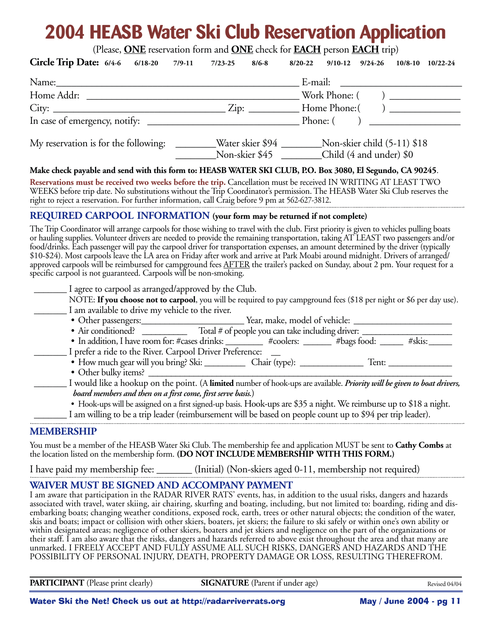## **2004 HEASB Water Ski Club Reservation Application**

(Please, **ONE** reservation form and **ONE** check for **EACH** person **EACH** trip)

| Circle Trip Date: 6/4-6 6/18-20 7/9-11 7/23-25 8/6-8                                                                                                                                                                                                                                                                                                                                                                                                                                                                                                                                                                                                                                                                                                                                                                                                                                                                                                                                                                                         | $\frac{1}{2}$ reservation form and $\frac{1}{2}$ enter for $\frac{1}{2}$ person $\frac{1}{2}$ and $\frac{1}{2}$ (ii)<br>$8/20 - 22$<br>$9/10-12$ $9/24-26$ $10/8-10$ $10/22-24$ |  |
|----------------------------------------------------------------------------------------------------------------------------------------------------------------------------------------------------------------------------------------------------------------------------------------------------------------------------------------------------------------------------------------------------------------------------------------------------------------------------------------------------------------------------------------------------------------------------------------------------------------------------------------------------------------------------------------------------------------------------------------------------------------------------------------------------------------------------------------------------------------------------------------------------------------------------------------------------------------------------------------------------------------------------------------------|---------------------------------------------------------------------------------------------------------------------------------------------------------------------------------|--|
| Name: E-mail:                                                                                                                                                                                                                                                                                                                                                                                                                                                                                                                                                                                                                                                                                                                                                                                                                                                                                                                                                                                                                                |                                                                                                                                                                                 |  |
|                                                                                                                                                                                                                                                                                                                                                                                                                                                                                                                                                                                                                                                                                                                                                                                                                                                                                                                                                                                                                                              |                                                                                                                                                                                 |  |
|                                                                                                                                                                                                                                                                                                                                                                                                                                                                                                                                                                                                                                                                                                                                                                                                                                                                                                                                                                                                                                              |                                                                                                                                                                                 |  |
|                                                                                                                                                                                                                                                                                                                                                                                                                                                                                                                                                                                                                                                                                                                                                                                                                                                                                                                                                                                                                                              |                                                                                                                                                                                 |  |
| My reservation is for the following: _________Water skier \$94 _________Non-skier child (5-11) \$18                                                                                                                                                                                                                                                                                                                                                                                                                                                                                                                                                                                                                                                                                                                                                                                                                                                                                                                                          | Non-skier \$45 Child (4 and under) \$0                                                                                                                                          |  |
| Make check payable and send with this form to: HEASB WATER SKI CLUB, P.O. Box 3080, El Segundo, CA 90245.<br>Reservations must be received two weeks before the trip. Cancellation must be received IN WRITING AT LEAST TWO<br>WEEKS before trip date. No substitutions without the Trip Coordinator's permission. The HEASB Water Ski Club reserves the<br>right to reject a reservation. For further information, call Craig before 9 pm at 562-627-3812.                                                                                                                                                                                                                                                                                                                                                                                                                                                                                                                                                                                  |                                                                                                                                                                                 |  |
| REQUIRED CARPOOL INFORMATION (your form may be returned if not complete)                                                                                                                                                                                                                                                                                                                                                                                                                                                                                                                                                                                                                                                                                                                                                                                                                                                                                                                                                                     |                                                                                                                                                                                 |  |
| The Trip Coordinator will arrange carpools for those wishing to travel with the club. First priority is given to vehicles pulling boats<br>or hauling supplies. Volunteer drivers are needed to provide the remaining transportation, taking AT LEAST two passengers and/or<br>food/drinks. Each passenger will pay the carpool driver for transportation expenses, an amount determined by the driver (typically<br>\$10-\$24). Most carpools leave the LA area on Friday after work and arrive at Park Moabi around midnight. Drivers of arranged/<br>approved carpools will be reimbursed for campground fees <u>AFTER</u> the trailer's packed on Sunday, about 2 pm. Your request for a<br>specific carpool is not guaranteed. Carpools will be non-smoking.<br>I agree to carpool as arranged/approved by the Club.                                                                                                                                                                                                                    | NOTE: If you choose not to carpool, you will be required to pay campground fees (\$18 per night or \$6 per day use).                                                            |  |
| I am available to drive my vehicle to the river.                                                                                                                                                                                                                                                                                                                                                                                                                                                                                                                                                                                                                                                                                                                                                                                                                                                                                                                                                                                             |                                                                                                                                                                                 |  |
|                                                                                                                                                                                                                                                                                                                                                                                                                                                                                                                                                                                                                                                                                                                                                                                                                                                                                                                                                                                                                                              |                                                                                                                                                                                 |  |
|                                                                                                                                                                                                                                                                                                                                                                                                                                                                                                                                                                                                                                                                                                                                                                                                                                                                                                                                                                                                                                              |                                                                                                                                                                                 |  |
| I prefer a ride to the River. Carpool Driver Preference:<br>• Other bulky items?<br>board members and then on a first come, first serve basis.)                                                                                                                                                                                                                                                                                                                                                                                                                                                                                                                                                                                                                                                                                                                                                                                                                                                                                              | I would like a hookup on the point. (A limited number of hook-ups are available. Priority will be given to boat drivers,                                                        |  |
| I am willing to be a trip leader (reimbursement will be based on people count up to \$94 per trip leader).                                                                                                                                                                                                                                                                                                                                                                                                                                                                                                                                                                                                                                                                                                                                                                                                                                                                                                                                   | • Hook-ups will be assigned on a first signed-up basis. Hook-ups are \$35 a night. We reimburse up to \$18 a night.                                                             |  |
| <b>MEMBERSHIP</b>                                                                                                                                                                                                                                                                                                                                                                                                                                                                                                                                                                                                                                                                                                                                                                                                                                                                                                                                                                                                                            |                                                                                                                                                                                 |  |
| You must be a member of the HEASB Water Ski Club. The membership fee and application MUST be sent to Cathy Combs at<br>the location listed on the membership form. (DO NOT INCLUDE MEMBERSHIP WITH THIS FORM.)                                                                                                                                                                                                                                                                                                                                                                                                                                                                                                                                                                                                                                                                                                                                                                                                                               |                                                                                                                                                                                 |  |
| I have paid my membership fee: _______ (Initial) (Non-skiers aged 0-11, membership not required)                                                                                                                                                                                                                                                                                                                                                                                                                                                                                                                                                                                                                                                                                                                                                                                                                                                                                                                                             |                                                                                                                                                                                 |  |
| WAIVER MUST BE SIGNED AND ACCOMPANY PAYMENT<br>I am aware that participation in the RADAR RIVER RATS' events, has, in addition to the usual risks, dangers and hazards<br>associated with travel, water skiing, air chairing, skurfing and boating, including, but not limited to: boarding, riding and dis-<br>embarking boats; changing weather conditions, exposed rock, earth, trees or other natural objects; the condition of the water,<br>skis and boats; impact or collision with other skiers, boaters, jet skiers; the failure to ski safely or within one's own ability or<br>within designated areas; negligence of other skiers, boaters and jet skiers and negligence on the part of the organizations or<br>their staff. I am also aware that the risks, dangers and hazards referred to above exist throughout the area and that many are<br>unmarked. I FREELY ACCEPT AND FULLY ASSUME ALL SUCH RISKS, DANGERS AND HAZARDS AND THE<br>POSSIBILITY OF PERSONAL INJURY, DEATH, PROPERTY DAMAGE OR LOSS, RESULTING THEREFROM. |                                                                                                                                                                                 |  |

**PARTICIPANT** (Please print clearly) **SIGNATURE** (Parent if under age)